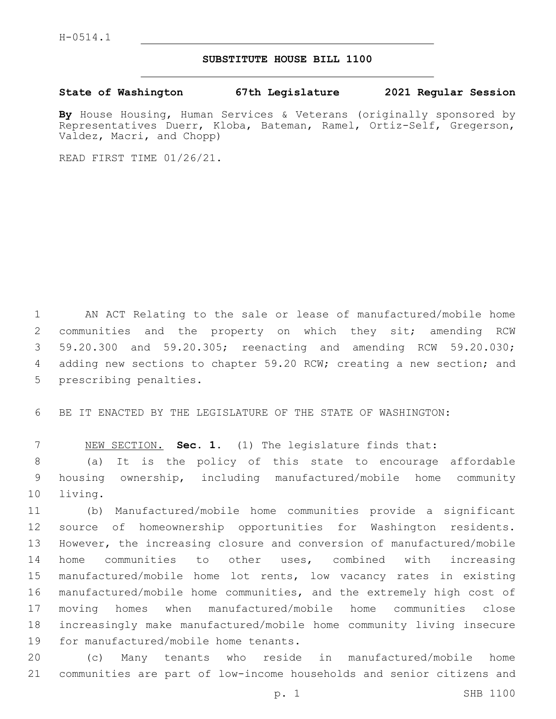## **SUBSTITUTE HOUSE BILL 1100**

## **State of Washington 67th Legislature 2021 Regular Session**

**By** House Housing, Human Services & Veterans (originally sponsored by Representatives Duerr, Kloba, Bateman, Ramel, Ortiz-Self, Gregerson, Valdez, Macri, and Chopp)

READ FIRST TIME 01/26/21.

 AN ACT Relating to the sale or lease of manufactured/mobile home communities and the property on which they sit; amending RCW 59.20.300 and 59.20.305; reenacting and amending RCW 59.20.030; adding new sections to chapter 59.20 RCW; creating a new section; and 5 prescribing penalties.

BE IT ENACTED BY THE LEGISLATURE OF THE STATE OF WASHINGTON:

NEW SECTION. **Sec. 1.** (1) The legislature finds that:

 (a) It is the policy of this state to encourage affordable housing ownership, including manufactured/mobile home community 10 living.

 (b) Manufactured/mobile home communities provide a significant source of homeownership opportunities for Washington residents. However, the increasing closure and conversion of manufactured/mobile home communities to other uses, combined with increasing manufactured/mobile home lot rents, low vacancy rates in existing manufactured/mobile home communities, and the extremely high cost of moving homes when manufactured/mobile home communities close increasingly make manufactured/mobile home community living insecure 19 for manufactured/mobile home tenants.

 (c) Many tenants who reside in manufactured/mobile home communities are part of low-income households and senior citizens and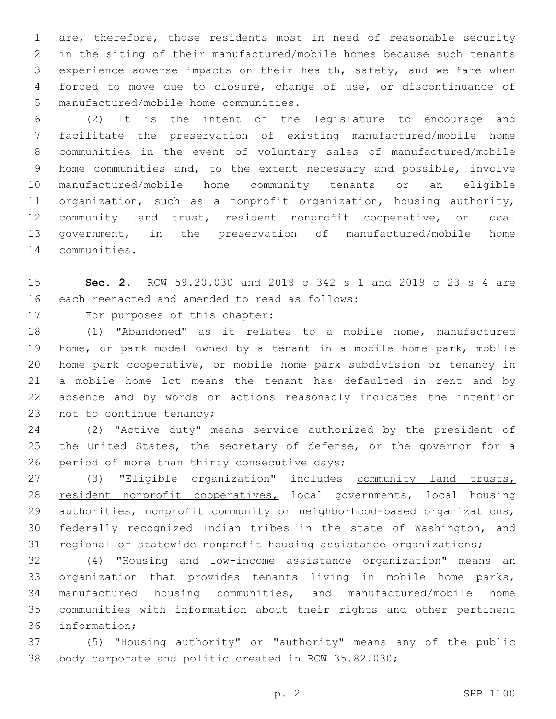are, therefore, those residents most in need of reasonable security in the siting of their manufactured/mobile homes because such tenants experience adverse impacts on their health, safety, and welfare when forced to move due to closure, change of use, or discontinuance of 5 manufactured/mobile home communities.

 (2) It is the intent of the legislature to encourage and facilitate the preservation of existing manufactured/mobile home communities in the event of voluntary sales of manufactured/mobile home communities and, to the extent necessary and possible, involve manufactured/mobile home community tenants or an eligible organization, such as a nonprofit organization, housing authority, community land trust, resident nonprofit cooperative, or local government, in the preservation of manufactured/mobile home 14 communities.

 **Sec. 2.** RCW 59.20.030 and 2019 c 342 s 1 and 2019 c 23 s 4 are 16 each reenacted and amended to read as follows:

17 For purposes of this chapter:

 (1) "Abandoned" as it relates to a mobile home, manufactured home, or park model owned by a tenant in a mobile home park, mobile home park cooperative, or mobile home park subdivision or tenancy in a mobile home lot means the tenant has defaulted in rent and by absence and by words or actions reasonably indicates the intention 23 not to continue tenancy;

 (2) "Active duty" means service authorized by the president of 25 the United States, the secretary of defense, or the governor for a 26 period of more than thirty consecutive days;

 (3) "Eligible organization" includes community land trusts, resident nonprofit cooperatives, local governments, local housing authorities, nonprofit community or neighborhood-based organizations, federally recognized Indian tribes in the state of Washington, and regional or statewide nonprofit housing assistance organizations;

 (4) "Housing and low-income assistance organization" means an organization that provides tenants living in mobile home parks, manufactured housing communities, and manufactured/mobile home communities with information about their rights and other pertinent 36 information:

 (5) "Housing authority" or "authority" means any of the public body corporate and politic created in RCW 35.82.030;

p. 2 SHB 1100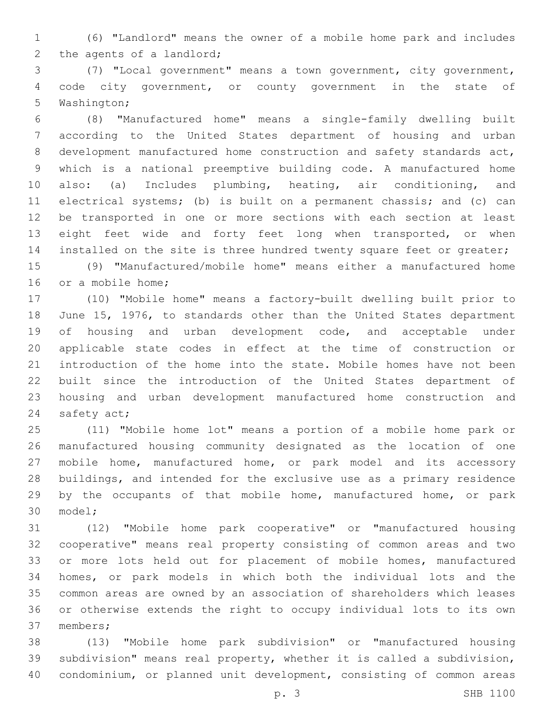(6) "Landlord" means the owner of a mobile home park and includes 2 the agents of a landlord;

 (7) "Local government" means a town government, city government, code city government, or county government in the state of 5 Washington;

 (8) "Manufactured home" means a single-family dwelling built according to the United States department of housing and urban development manufactured home construction and safety standards act, which is a national preemptive building code. A manufactured home also: (a) Includes plumbing, heating, air conditioning, and electrical systems; (b) is built on a permanent chassis; and (c) can be transported in one or more sections with each section at least 13 eight feet wide and forty feet long when transported, or when 14 installed on the site is three hundred twenty square feet or greater;

 (9) "Manufactured/mobile home" means either a manufactured home 16 or a mobile home;

 (10) "Mobile home" means a factory-built dwelling built prior to June 15, 1976, to standards other than the United States department 19 of housing and urban development code, and acceptable under applicable state codes in effect at the time of construction or introduction of the home into the state. Mobile homes have not been built since the introduction of the United States department of housing and urban development manufactured home construction and 24 safety act;

 (11) "Mobile home lot" means a portion of a mobile home park or manufactured housing community designated as the location of one mobile home, manufactured home, or park model and its accessory buildings, and intended for the exclusive use as a primary residence 29 by the occupants of that mobile home, manufactured home, or park 30 model;

 (12) "Mobile home park cooperative" or "manufactured housing cooperative" means real property consisting of common areas and two 33 or more lots held out for placement of mobile homes, manufactured homes, or park models in which both the individual lots and the common areas are owned by an association of shareholders which leases or otherwise extends the right to occupy individual lots to its own 37 members;

 (13) "Mobile home park subdivision" or "manufactured housing subdivision" means real property, whether it is called a subdivision, condominium, or planned unit development, consisting of common areas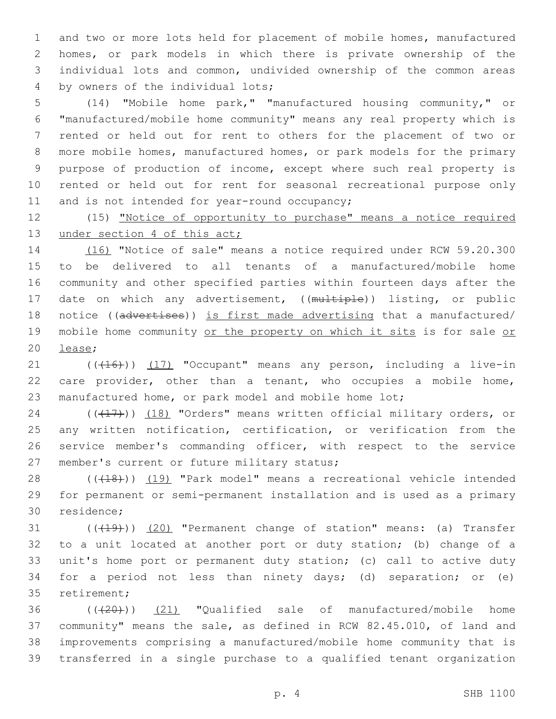and two or more lots held for placement of mobile homes, manufactured homes, or park models in which there is private ownership of the individual lots and common, undivided ownership of the common areas 4 by owners of the individual lots;

 (14) "Mobile home park," "manufactured housing community," or "manufactured/mobile home community" means any real property which is rented or held out for rent to others for the placement of two or more mobile homes, manufactured homes, or park models for the primary purpose of production of income, except where such real property is rented or held out for rent for seasonal recreational purpose only 11 and is not intended for year-round occupancy;

 (15) "Notice of opportunity to purchase" means a notice required 13 under section 4 of this act;

 (16) "Notice of sale" means a notice required under RCW 59.20.300 to be delivered to all tenants of a manufactured/mobile home community and other specified parties within fourteen days after the 17 date on which any advertisement, ((multiple)) listing, or public 18 notice ((advertises)) is first made advertising that a manufactured/ 19 mobile home community or the property on which it sits is for sale or 20 lease;

21 (((416))) (17) "Occupant" means any person, including a live-in care provider, other than a tenant, who occupies a mobile home, manufactured home, or park model and mobile home lot;

24 (( $(47)$ )) (18) "Orders" means written official military orders, or any written notification, certification, or verification from the service member's commanding officer, with respect to the service 27 member's current or future military status;

28 ((+18))) (19) "Park model" means a recreational vehicle intended for permanent or semi-permanent installation and is used as a primary 30 residence;

31 (((419))) (20) "Permanent change of station" means: (a) Transfer to a unit located at another port or duty station; (b) change of a unit's home port or permanent duty station; (c) call to active duty for a period not less than ninety days; (d) separation; or (e) 35 retirement;

 ( $(\overline{+20})$ )  $(21)$  "Qualified sale of manufactured/mobile home community" means the sale, as defined in RCW 82.45.010, of land and improvements comprising a manufactured/mobile home community that is transferred in a single purchase to a qualified tenant organization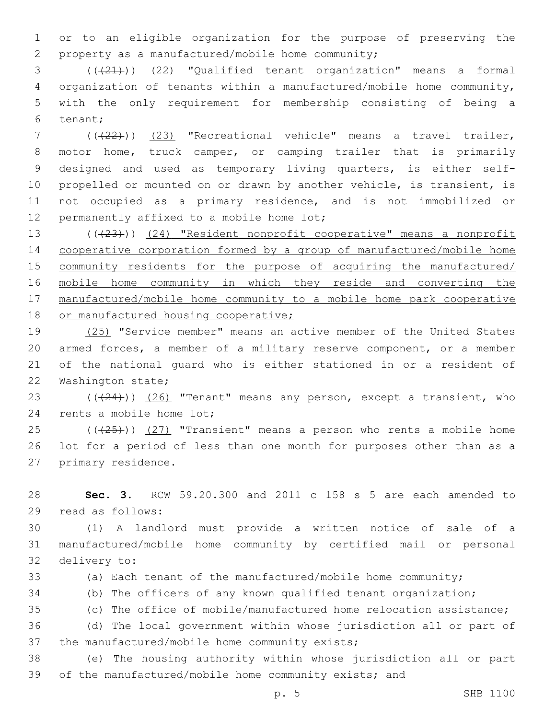or to an eligible organization for the purpose of preserving the property as a manufactured/mobile home community;2

 (((21))) (22) "Qualified tenant organization" means a formal organization of tenants within a manufactured/mobile home community, with the only requirement for membership consisting of being a 6 tenant;

 (((22))) (23) "Recreational vehicle" means a travel trailer, motor home, truck camper, or camping trailer that is primarily designed and used as temporary living quarters, is either self- propelled or mounted on or drawn by another vehicle, is transient, is not occupied as a primary residence, and is not immobilized or 12 permanently affixed to a mobile home lot;

13 (( $(23)$ )) (24) "Resident nonprofit cooperative" means a nonprofit cooperative corporation formed by a group of manufactured/mobile home community residents for the purpose of acquiring the manufactured/ mobile home community in which they reside and converting the manufactured/mobile home community to a mobile home park cooperative 18 or manufactured housing cooperative;

19 (25) "Service member" means an active member of the United States armed forces, a member of a military reserve component, or a member of the national guard who is either stationed in or a resident of 22 Washington state;

23 (( $(24)$ )) (26) "Tenant" means any person, except a transient, who 24 rents a mobile home lot;

 (( $(25)$ )) (27) "Transient" means a person who rents a mobile home lot for a period of less than one month for purposes other than as a 27 primary residence.

 **Sec. 3.** RCW 59.20.300 and 2011 c 158 s 5 are each amended to 29 read as follows:

 (1) A landlord must provide a written notice of sale of a manufactured/mobile home community by certified mail or personal 32 delivery to:

(a) Each tenant of the manufactured/mobile home community;

(b) The officers of any known qualified tenant organization;

(c) The office of mobile/manufactured home relocation assistance;

 (d) The local government within whose jurisdiction all or part of 37 the manufactured/mobile home community exists;

 (e) The housing authority within whose jurisdiction all or part of the manufactured/mobile home community exists; and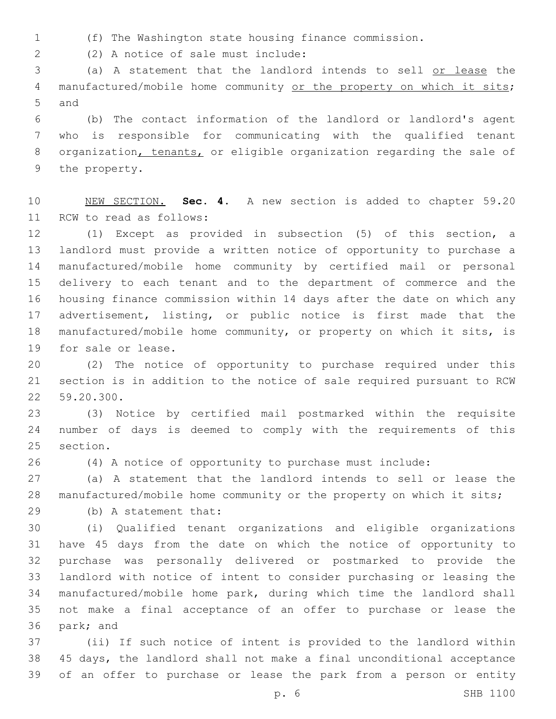(f) The Washington state housing finance commission.

(2) A notice of sale must include:2

 (a) A statement that the landlord intends to sell or lease the 4 manufactured/mobile home community or the property on which it sits; 5 and

 (b) The contact information of the landlord or landlord's agent who is responsible for communicating with the qualified tenant organization, tenants, or eligible organization regarding the sale of 9 the property.

 NEW SECTION. **Sec. 4.** A new section is added to chapter 59.20 11 RCW to read as follows:

 (1) Except as provided in subsection (5) of this section, a landlord must provide a written notice of opportunity to purchase a manufactured/mobile home community by certified mail or personal delivery to each tenant and to the department of commerce and the housing finance commission within 14 days after the date on which any advertisement, listing, or public notice is first made that the manufactured/mobile home community, or property on which it sits, is 19 for sale or lease.

 (2) The notice of opportunity to purchase required under this section is in addition to the notice of sale required pursuant to RCW 22 59.20.300.

 (3) Notice by certified mail postmarked within the requisite number of days is deemed to comply with the requirements of this 25 section.

(4) A notice of opportunity to purchase must include:

 (a) A statement that the landlord intends to sell or lease the manufactured/mobile home community or the property on which it sits;

(b) A statement that:29

 (i) Qualified tenant organizations and eligible organizations have 45 days from the date on which the notice of opportunity to purchase was personally delivered or postmarked to provide the landlord with notice of intent to consider purchasing or leasing the manufactured/mobile home park, during which time the landlord shall not make a final acceptance of an offer to purchase or lease the 36 park; and

 (ii) If such notice of intent is provided to the landlord within 45 days, the landlord shall not make a final unconditional acceptance of an offer to purchase or lease the park from a person or entity

p. 6 SHB 1100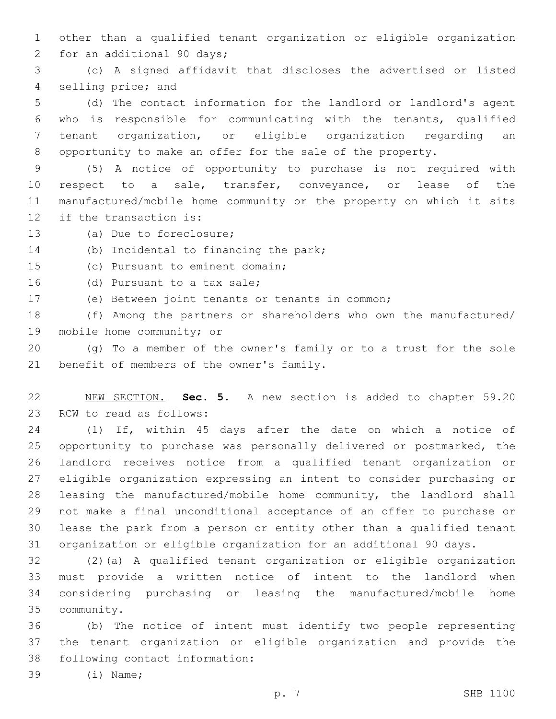other than a qualified tenant organization or eligible organization 2 for an additional 90 days;

 (c) A signed affidavit that discloses the advertised or listed 4 selling price; and

 (d) The contact information for the landlord or landlord's agent who is responsible for communicating with the tenants, qualified tenant organization, or eligible organization regarding an opportunity to make an offer for the sale of the property.

 (5) A notice of opportunity to purchase is not required with respect to a sale, transfer, conveyance, or lease of the manufactured/mobile home community or the property on which it sits 12 if the transaction is:

13 (a) Due to foreclosure;

14 (b) Incidental to financing the park;

15 (c) Pursuant to eminent domain;

16 (d) Pursuant to a tax sale;

(e) Between joint tenants or tenants in common;

 (f) Among the partners or shareholders who own the manufactured/ 19 mobile home community; or

 (g) To a member of the owner's family or to a trust for the sole 21 benefit of members of the owner's family.

 NEW SECTION. **Sec. 5.** A new section is added to chapter 59.20 23 RCW to read as follows:

 (1) If, within 45 days after the date on which a notice of opportunity to purchase was personally delivered or postmarked, the landlord receives notice from a qualified tenant organization or eligible organization expressing an intent to consider purchasing or leasing the manufactured/mobile home community, the landlord shall not make a final unconditional acceptance of an offer to purchase or lease the park from a person or entity other than a qualified tenant organization or eligible organization for an additional 90 days.

 (2)(a) A qualified tenant organization or eligible organization must provide a written notice of intent to the landlord when considering purchasing or leasing the manufactured/mobile home community.35

 (b) The notice of intent must identify two people representing the tenant organization or eligible organization and provide the 38 following contact information:

39 (i) Name;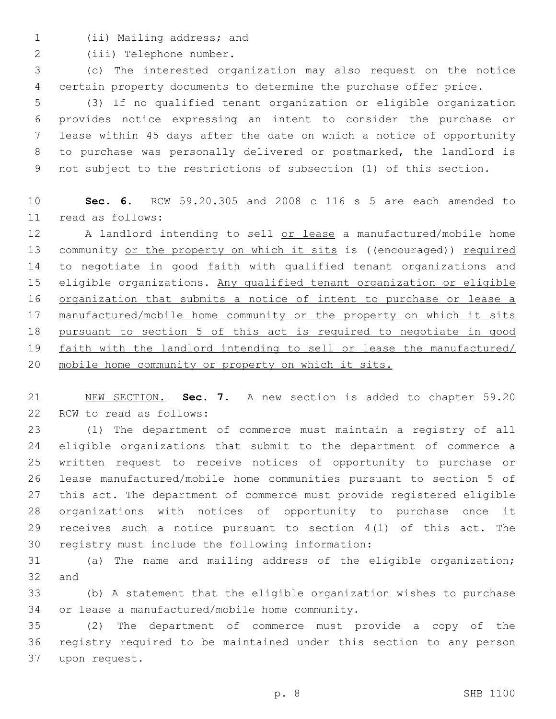1 (ii) Mailing address; and

2 (iii) Telephone number.

 (c) The interested organization may also request on the notice certain property documents to determine the purchase offer price.

 (3) If no qualified tenant organization or eligible organization provides notice expressing an intent to consider the purchase or lease within 45 days after the date on which a notice of opportunity to purchase was personally delivered or postmarked, the landlord is not subject to the restrictions of subsection (1) of this section.

 **Sec. 6.** RCW 59.20.305 and 2008 c 116 s 5 are each amended to read as follows:11

12 A landlord intending to sell or lease a manufactured/mobile home 13 community or the property on which it sits is ((encouraged)) required to negotiate in good faith with qualified tenant organizations and eligible organizations. Any qualified tenant organization or eligible 16 organization that submits a notice of intent to purchase or lease a manufactured/mobile home community or the property on which it sits pursuant to section 5 of this act is required to negotiate in good faith with the landlord intending to sell or lease the manufactured/ mobile home community or property on which it sits.

 NEW SECTION. **Sec. 7.** A new section is added to chapter 59.20 22 RCW to read as follows:

 (1) The department of commerce must maintain a registry of all eligible organizations that submit to the department of commerce a written request to receive notices of opportunity to purchase or lease manufactured/mobile home communities pursuant to section 5 of this act. The department of commerce must provide registered eligible organizations with notices of opportunity to purchase once it receives such a notice pursuant to section 4(1) of this act. The 30 registry must include the following information:

 (a) The name and mailing address of the eligible organization; 32 and

 (b) A statement that the eligible organization wishes to purchase 34 or lease a manufactured/mobile home community.

 (2) The department of commerce must provide a copy of the registry required to be maintained under this section to any person 37 upon request.